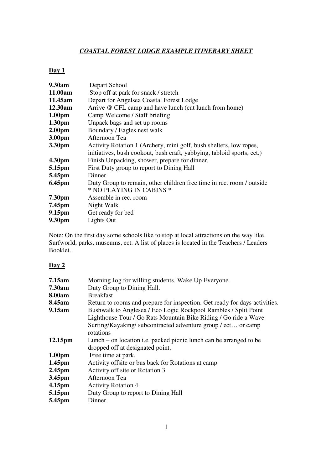## *COASTAL FOREST LODGE EXAMPLE ITINERARY SHEET*

## **Day 1**

| 9.30am             | Depart School                                                          |
|--------------------|------------------------------------------------------------------------|
| 11.00am            | Stop off at park for snack / stretch                                   |
| 11.45am            | Depart for Angelsea Coastal Forest Lodge                               |
| 12.30am            | Arrive @ CFL camp and have lunch (cut lunch from home)                 |
| 1.00 <sub>pm</sub> | Camp Welcome / Staff briefing                                          |
| 1.30 <sub>pm</sub> | Unpack bags and set up rooms                                           |
| 2.00 <sub>pm</sub> | Boundary / Eagles nest walk                                            |
| 3.00 <sub>pm</sub> | Afternoon Tea                                                          |
| 3.30pm             | Activity Rotation 1 (Archery, mini golf, bush shelters, low ropes,     |
|                    | initiatives, bush cookout, bush craft, yabbying, tabloid sports, ect.) |
| 4.30 <sub>pm</sub> | Finish Unpacking, shower, prepare for dinner.                          |
| 5.15pm             | First Duty group to report to Dining Hall                              |
| 5.45pm             | Dinner                                                                 |
| 6.45pm             | Duty Group to remain, other children free time in rec. room / outside  |
|                    | * NO PLAYING IN CABINS *                                               |
| 7.30pm             | Assemble in rec. room                                                  |
| 7.45pm             | Night Walk                                                             |
| 9.15pm             | Get ready for bed                                                      |
| 9.30pm             | Lights Out                                                             |

Note: On the first day some schools like to stop at local attractions on the way like Surfworld, parks, museums, ect. A list of places is located in the Teachers / Leaders Booklet.

## **Day 2**

| Morning Jog for willing students. Wake Up Everyone.                                                                                                                                                              |
|------------------------------------------------------------------------------------------------------------------------------------------------------------------------------------------------------------------|
| Duty Group to Dining Hall.                                                                                                                                                                                       |
| <b>Breakfast</b>                                                                                                                                                                                                 |
| Return to rooms and prepare for inspection. Get ready for days activities.                                                                                                                                       |
| Bushwalk to Anglesea / Eco Logic Rockpool Rambles / Split Point<br>Lighthouse Tour / Go Rats Mountain Bike Riding / Go ride a Wave<br>Surfing/Kayaking/ subcontracted adventure group / ect or camp<br>rotations |
| Lunch – on location <i>i.e.</i> packed picnic lunch can be arranged to be<br>dropped off at designated point.                                                                                                    |
| Free time at park.                                                                                                                                                                                               |
| Activity offsite or bus back for Rotations at camp                                                                                                                                                               |
| Activity off site or Rotation 3                                                                                                                                                                                  |
| Afternoon Tea                                                                                                                                                                                                    |
| <b>Activity Rotation 4</b>                                                                                                                                                                                       |
| Duty Group to report to Dining Hall                                                                                                                                                                              |
| Dinner                                                                                                                                                                                                           |
|                                                                                                                                                                                                                  |